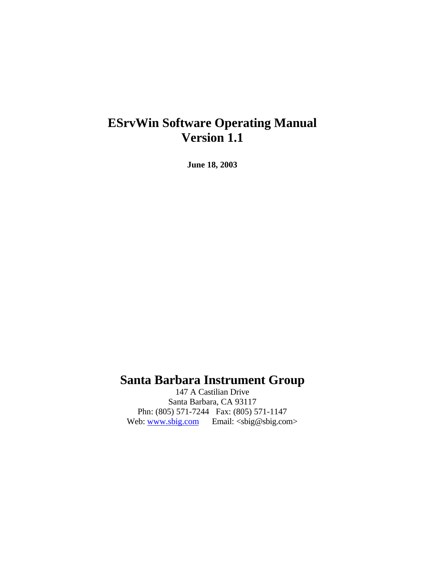# **ESrvWin Software Operating Manual Version 1.1**

**June 18, 2003**

### **Santa Barbara Instrument Group**

147 A Castilian Drive Santa Barbara, CA 93117 Phn: (805) 571-7244 Fax: (805) 571-1147 Web: www.sbig.com Email: <sbig@sbig.com>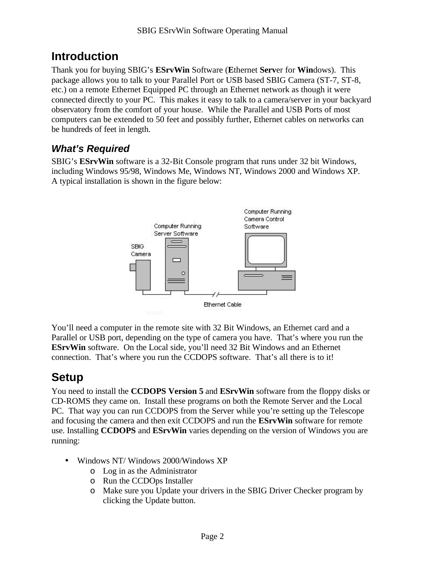## **Introduction**

Thank you for buying SBIG's **ESrvWin** Software (**E**thernet **Serv**er for **Win**dows). This package allows you to talk to your Parallel Port or USB based SBIG Camera (ST-7, ST-8, etc.) on a remote Ethernet Equipped PC through an Ethernet network as though it were connected directly to your PC. This makes it easy to talk to a camera/server in your backyard observatory from the comfort of your house. While the Parallel and USB Ports of most computers can be extended to 50 feet and possibly further, Ethernet cables on networks can be hundreds of feet in length.

#### *What's Required*

SBIG's **ESrvWin** software is a 32-Bit Console program that runs under 32 bit Windows, including Windows 95/98, Windows Me, Windows NT, Windows 2000 and Windows XP. A typical installation is shown in the figure below:



You'll need a computer in the remote site with 32 Bit Windows, an Ethernet card and a Parallel or USB port, depending on the type of camera you have. That's where you run the **ESrvWin** software. On the Local side, you'll need 32 Bit Windows and an Ethernet connection. That's where you run the CCDOPS software. That's all there is to it!

## **Setup**

You need to install the **CCDOPS Version 5** and **ESrvWin** software from the floppy disks or CD-ROMS they came on. Install these programs on both the Remote Server and the Local PC. That way you can run CCDOPS from the Server while you're setting up the Telescope and focusing the camera and then exit CCDOPS and run the **ESrvWin** software for remote use. Installing **CCDOPS** and **ESrvWin** varies depending on the version of Windows you are running:

- Windows NT/ Windows 2000/Windows XP
	- o Log in as the Administrator
	- o Run the CCDOps Installer
	- o Make sure you Update your drivers in the SBIG Driver Checker program by clicking the Update button.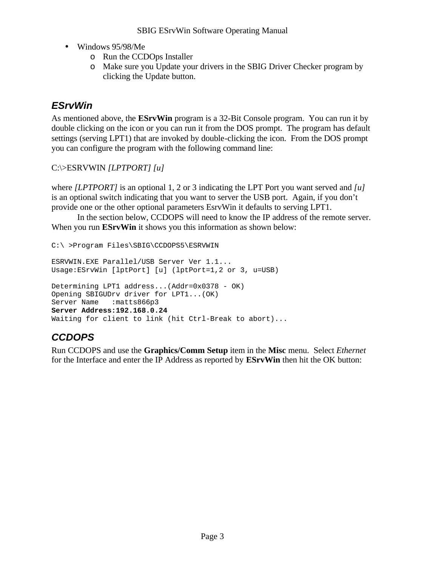- Windows 95/98/Me
	- o Run the CCDOps Installer
	- o Make sure you Update your drivers in the SBIG Driver Checker program by clicking the Update button.

#### *ESrvWin*

As mentioned above, the **ESrvWin** program is a 32-Bit Console program. You can run it by double clicking on the icon or you can run it from the DOS prompt. The program has default settings (serving LPT1) that are invoked by double-clicking the icon. From the DOS prompt you can configure the program with the following command line:

#### C:\>ESRVWIN *[LPTPORT] [u]*

where *[LPTPORT]* is an optional 1, 2 or 3 indicating the LPT Port you want served and *[u]* is an optional switch indicating that you want to server the USB port. Again, if you don't provide one or the other optional parameters EsrvWin it defaults to serving LPT1.

In the section below, CCDOPS will need to know the IP address of the remote server. When you run **ESrvWin** it shows you this information as shown below:

```
C:\ >Program Files\SBIG\CCDOPS5\ESRVWIN
ESRVWIN.EXE Parallel/USB Server Ver 1.1...
Usage:ESrvWin [lptPort] [u] (lptPort=1,2 or 3, u=USB)
Determining LPT1 address...(Addr=0x0378 - OK)
Opening SBIGUDrv driver for LPT1...(OK)
Server Name : matts866p3
Server Address:192.168.0.24
Waiting for client to link (hit Ctrl-Break to abort)...
```
#### *CCDOPS*

Run CCDOPS and use the **Graphics/Comm Setup** item in the **Misc** menu. Select *Ethernet* for the Interface and enter the IP Address as reported by **ESrvWin** then hit the OK button: